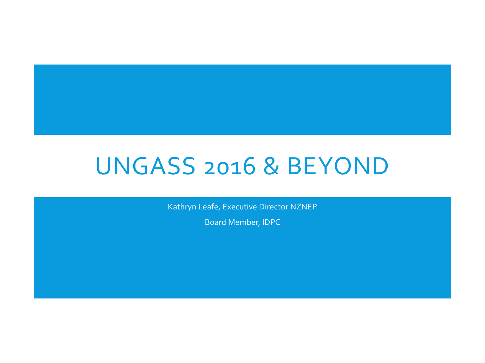# UNGASS 2016 & BEYOND

Kathryn Leafe, Executive Director NZNEP

Board Member, IDPC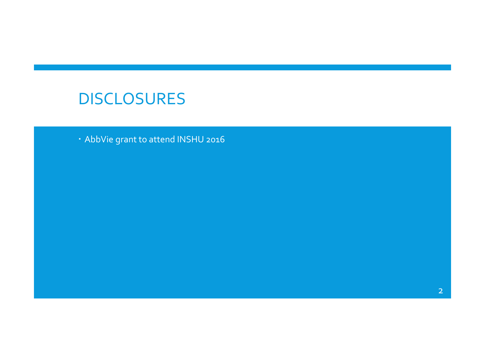### DISCLOSURES

AbbVie grant to attend INSHU 2016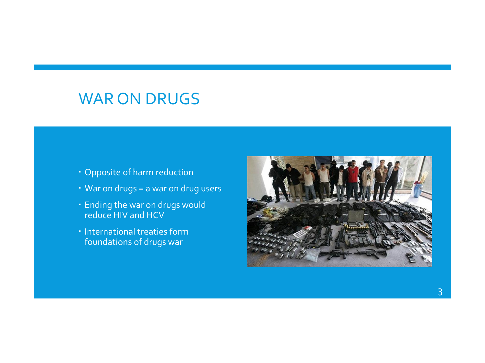### WAR ON DRUGS

- Opposite of harm reduction
- War on drugs = a war on drug users
- Ending the war on drugs would reduce HIV and HCV
- **· International treaties form** foundations of drugs war

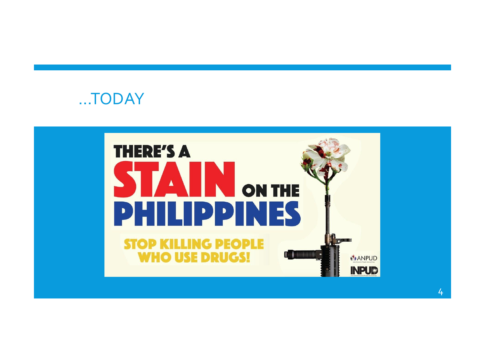

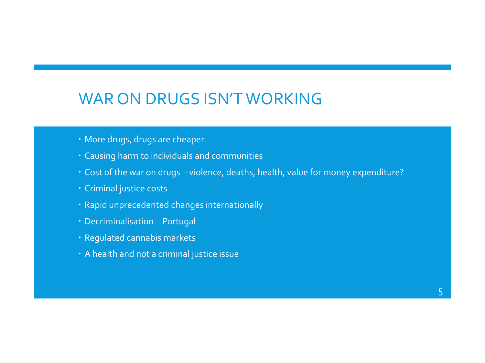### WAR ON DRUGS ISN'T WORKING

- More drugs, drugs are cheaper
- Causing harm to individuals and communities
- Cost of the war on drugs violence, deaths, health, value for money expenditure?
- Criminal justice costs
- Rapid unprecedented changes internationally
- Decriminalisation Portugal
- Regulated cannabis markets
- A health and not a criminal justice issue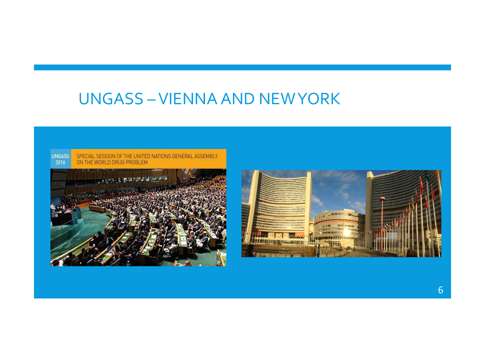## **UNGASS-VIENNA AND NEWYORK**

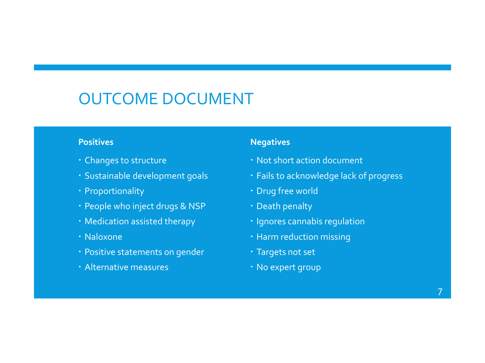# OUTCOME DOCUMENT

#### **Positives**

- Changes to structure
- Sustainable development goals
- Proportionality
- People who inject drugs & NSP
- Medication assisted therapy
- Naloxone
- Positive statements on gender
- Alternative measures

#### **Negatives**

- Not short action document
- Fails to acknowledge lack of progress
- Drug free world
- Death penalty
- **· Ignores cannabis regulation**
- Harm reduction missing
- Targets not set
- No expert group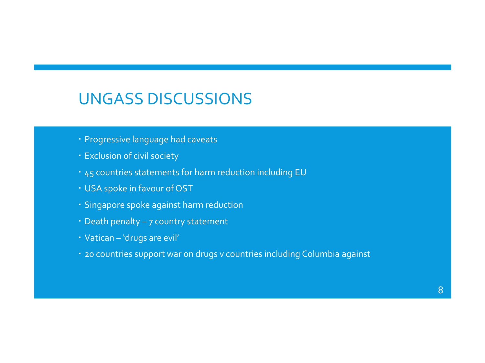### UNGASS DISCUSSIONS

- Progressive language had caveats
- Exclusion of civil society
- 45 countries statements for harm reduction including EU
- USA spoke in favour of OST
- Singapore spoke against harm reduction
- Death penalty 7 country statement
- Vatican 'drugs are evil'
- 20 countries support war on drugs v countries including Columbia against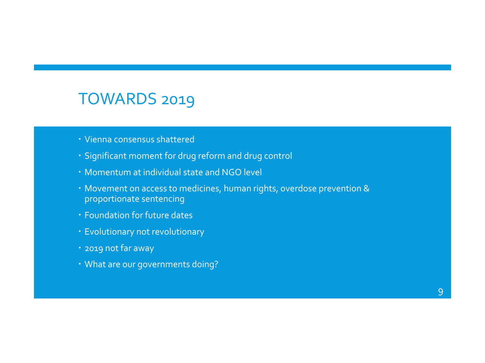### TOWARDS 2019

- Vienna consensus shattered
- Significant moment for drug reform and drug control
- Momentum at individual state and NGO level
- Movement on access to medicines, human rights, overdose prevention & proportionate sentencing
- Foundation for future dates
- Evolutionary not revolutionary
- 2019 not far away
- What are our governments doing?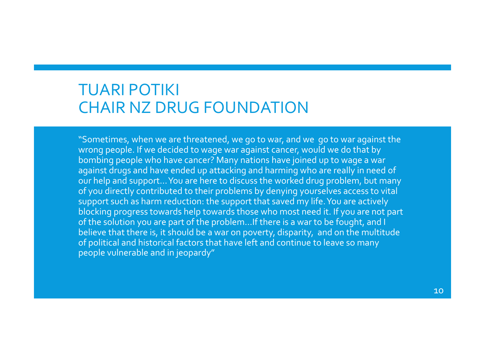### TUARI POTIKI CHAIR NZ DRUG FOUNDATION

"Sometimes, when we are threatened, we go to war, and we go to war against the wrong people. If we decided to wage war against cancer, would we do that by bombing people who have cancer? Many nations have joined up to wage a war against drugs and have ended up attacking and harming who are really in need of our help and support… You are here to discuss the worked drug problem, but many of you directly contributed to their problems by denying yourselves access to vital support such as harm reduction: the support that saved my life. You are actively blocking progress towards help towards those who most need it. If you are not part of the solution you are part of the problem…If there is a war to be fought, and I believe that there is, it should be a war on poverty, disparity, and on the multitude of political and historical factors that have left and continue to leave so many people vulnerable and in jeopardy"